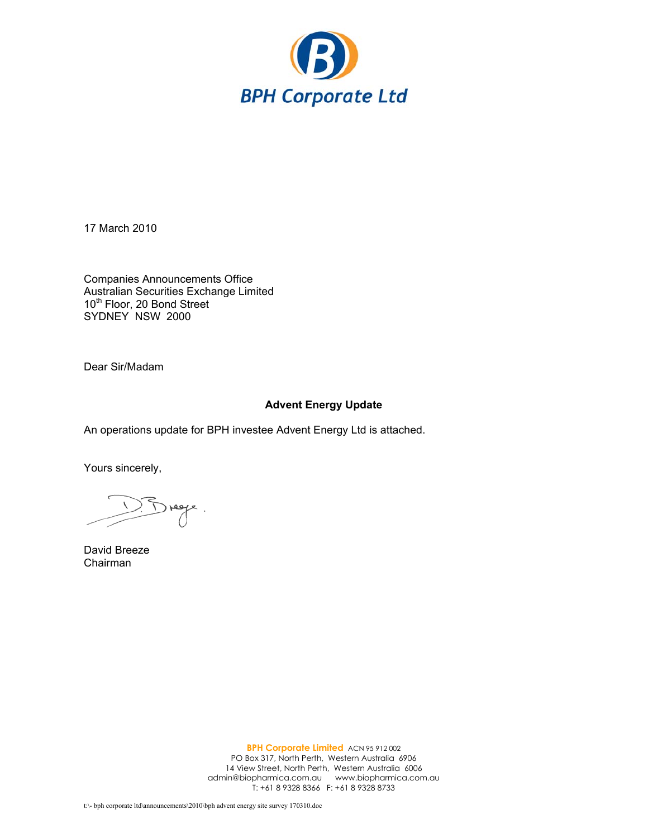

17 March 2010

Companies Announcements Office Australian Securities Exchange Limited 10<sup>th</sup> Floor, 20 Bond Street SYDNEY NSW 2000

Dear Sir/Madam

## **Advent Energy Update**

An operations update for BPH investee Advent Energy Ltd is attached.

Yours sincerely,

 $25$  rege.

David Breeze Chairman

**BPH Corporate Limited** ACN 95 912 002 PO Box 317, North Perth, Western Australia 6906 14 View Street, North Perth, Western Australia 6006 admin@biopharmica.com.au www.biopharmica.com.au T: +61 8 9328 8366 F: +61 8 9328 8733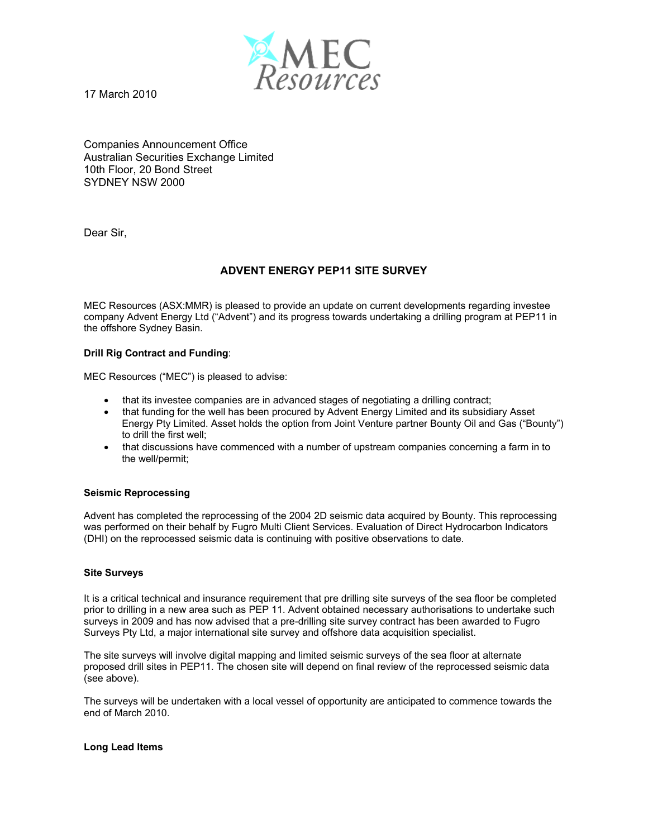

17 March 2010

Companies Announcement Office Australian Securities Exchange Limited 10th Floor, 20 Bond Street SYDNEY NSW 2000

Dear Sir,

# **ADVENT ENERGY PEP11 SITE SURVEY**

MEC Resources (ASX:MMR) is pleased to provide an update on current developments regarding investee company Advent Energy Ltd ("Advent") and its progress towards undertaking a drilling program at PEP11 in the offshore Sydney Basin.

## **Drill Rig Contract and Funding**:

MEC Resources ("MEC") is pleased to advise:

- that its investee companies are in advanced stages of negotiating a drilling contract;
- that funding for the well has been procured by Advent Energy Limited and its subsidiary Asset Energy Pty Limited. Asset holds the option from Joint Venture partner Bounty Oil and Gas ("Bounty") to drill the first well;
- that discussions have commenced with a number of upstream companies concerning a farm in to the well/permit;

### **Seismic Reprocessing**

Advent has completed the reprocessing of the 2004 2D seismic data acquired by Bounty. This reprocessing was performed on their behalf by Fugro Multi Client Services. Evaluation of Direct Hydrocarbon Indicators (DHI) on the reprocessed seismic data is continuing with positive observations to date.

### **Site Surveys**

It is a critical technical and insurance requirement that pre drilling site surveys of the sea floor be completed prior to drilling in a new area such as PEP 11. Advent obtained necessary authorisations to undertake such surveys in 2009 and has now advised that a pre-drilling site survey contract has been awarded to Fugro Surveys Pty Ltd, a major international site survey and offshore data acquisition specialist.

The site surveys will involve digital mapping and limited seismic surveys of the sea floor at alternate proposed drill sites in PEP11. The chosen site will depend on final review of the reprocessed seismic data (see above).

The surveys will be undertaken with a local vessel of opportunity are anticipated to commence towards the end of March 2010.

### **Long Lead Items**